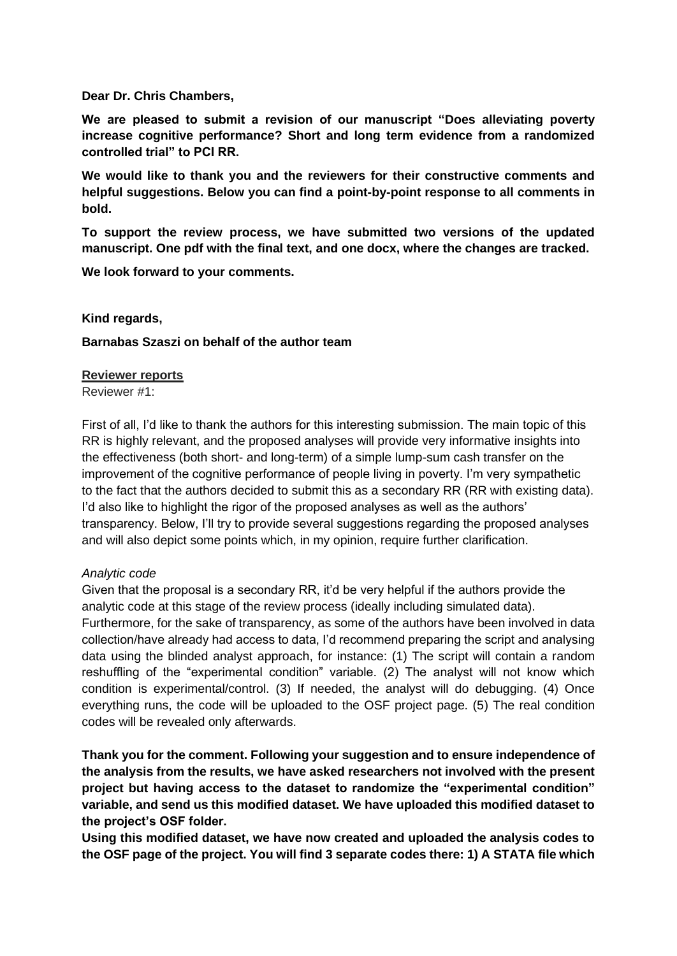**Dear Dr. Chris Chambers,**

**We are pleased to submit a revision of our manuscript "Does alleviating poverty increase cognitive performance? Short and long term evidence from a randomized controlled trial" to PCI RR.**

**We would like to thank you and the reviewers for their constructive comments and helpful suggestions. Below you can find a point-by-point response to all comments in bold.** 

**To support the review process, we have submitted two versions of the updated manuscript. One pdf with the final text, and one docx, where the changes are tracked.**

**We look forward to your comments.**

#### **Kind regards,**

#### **Barnabas Szaszi on behalf of the author team**

#### **Reviewer reports**

Reviewer #1:

First of all, I'd like to thank the authors for this interesting submission. The main topic of this RR is highly relevant, and the proposed analyses will provide very informative insights into the effectiveness (both short- and long-term) of a simple lump-sum cash transfer on the improvement of the cognitive performance of people living in poverty. I'm very sympathetic to the fact that the authors decided to submit this as a secondary RR (RR with existing data). I'd also like to highlight the rigor of the proposed analyses as well as the authors' transparency. Below, I'll try to provide several suggestions regarding the proposed analyses and will also depict some points which, in my opinion, require further clarification.

#### *Analytic code*

Given that the proposal is a secondary RR, it'd be very helpful if the authors provide the analytic code at this stage of the review process (ideally including simulated data). Furthermore, for the sake of transparency, as some of the authors have been involved in data collection/have already had access to data, I'd recommend preparing the script and analysing data using the blinded analyst approach, for instance: (1) The script will contain a random reshuffling of the "experimental condition" variable. (2) The analyst will not know which condition is experimental/control. (3) If needed, the analyst will do debugging. (4) Once everything runs, the code will be uploaded to the OSF project page. (5) The real condition codes will be revealed only afterwards.

**Thank you for the comment. Following your suggestion and to ensure independence of the analysis from the results, we have asked researchers not involved with the present project but having access to the dataset to randomize the "experimental condition" variable, and send us this modified dataset. We have uploaded this modified dataset to the project's OSF folder.** 

**Using this modified dataset, we have now created and uploaded the analysis codes to the OSF page of the project. You will find 3 separate codes there: 1) A STATA file which**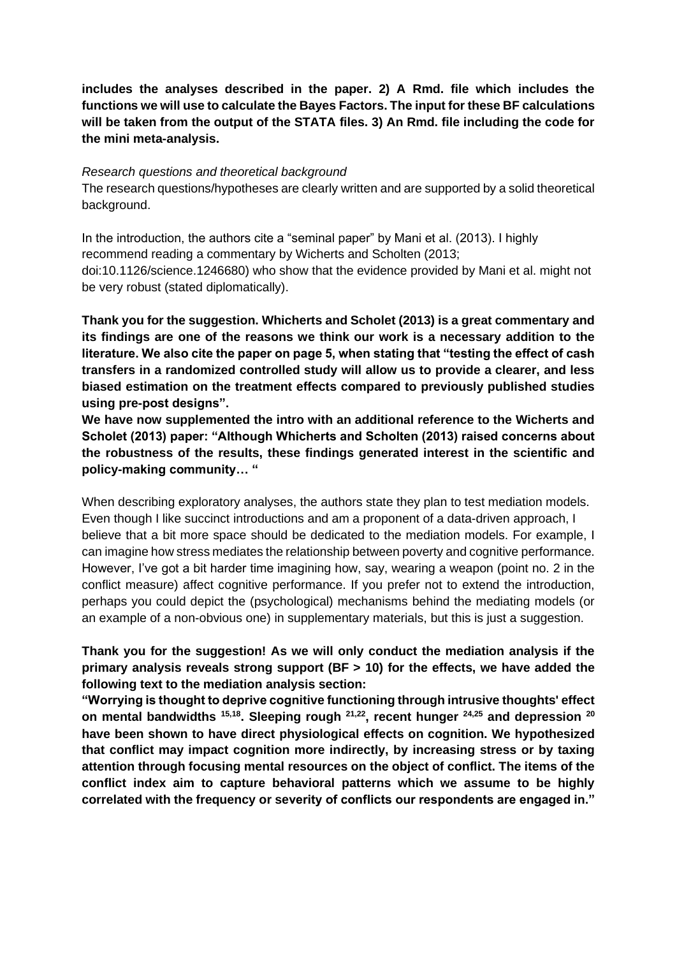**includes the analyses described in the paper. 2) A Rmd. file which includes the functions we will use to calculate the Bayes Factors. The input for these BF calculations will be taken from the output of the STATA files. 3) An Rmd. file including the code for the mini meta-analysis.** 

### *Research questions and theoretical background*

The research questions/hypotheses are clearly written and are supported by a solid theoretical background.

In the introduction, the authors cite a "seminal paper" by Mani et al. (2013). I highly recommend reading a commentary by Wicherts and Scholten (2013; doi:10.1126/science.1246680) who show that the evidence provided by Mani et al. might not be very robust (stated diplomatically).

**Thank you for the suggestion. Whicherts and Scholet (2013) is a great commentary and its findings are one of the reasons we think our work is a necessary addition to the literature. We also cite the paper on page 5, when stating that "testing the effect of cash transfers in a randomized controlled study will allow us to provide a clearer, and less biased estimation on the treatment effects compared to previously published studies using pre-post designs".**

**We have now supplemented the intro with an additional reference to the Wicherts and Scholet (2013) paper: "Although Whicherts and Scholten (2013) raised concerns about the robustness of the results, these findings generated interest in the scientific and policy-making community… "**

When describing exploratory analyses, the authors state they plan to test mediation models. Even though I like succinct introductions and am a proponent of a data-driven approach, I believe that a bit more space should be dedicated to the mediation models. For example, I can imagine how stress mediates the relationship between poverty and cognitive performance. However, I've got a bit harder time imagining how, say, wearing a weapon (point no. 2 in the conflict measure) affect cognitive performance. If you prefer not to extend the introduction, perhaps you could depict the (psychological) mechanisms behind the mediating models (or an example of a non-obvious one) in supplementary materials, but this is just a suggestion.

# **Thank you for the suggestion! As we will only conduct the mediation analysis if the primary analysis reveals strong support (BF > 10) for the effects, we have added the following text to the mediation analysis section:**

**"Worrying is thought to deprive cognitive functioning through intrusive thoughts' effect on mental bandwidths 15,18. Sleeping rough 21,22, recent hunger 24,25 and depression <sup>20</sup> have been shown to have direct physiological effects on cognition. We hypothesized that conflict may impact cognition more indirectly, by increasing stress or by taxing attention through focusing mental resources on the object of conflict. The items of the conflict index aim to capture behavioral patterns which we assume to be highly correlated with the frequency or severity of conflicts our respondents are engaged in."**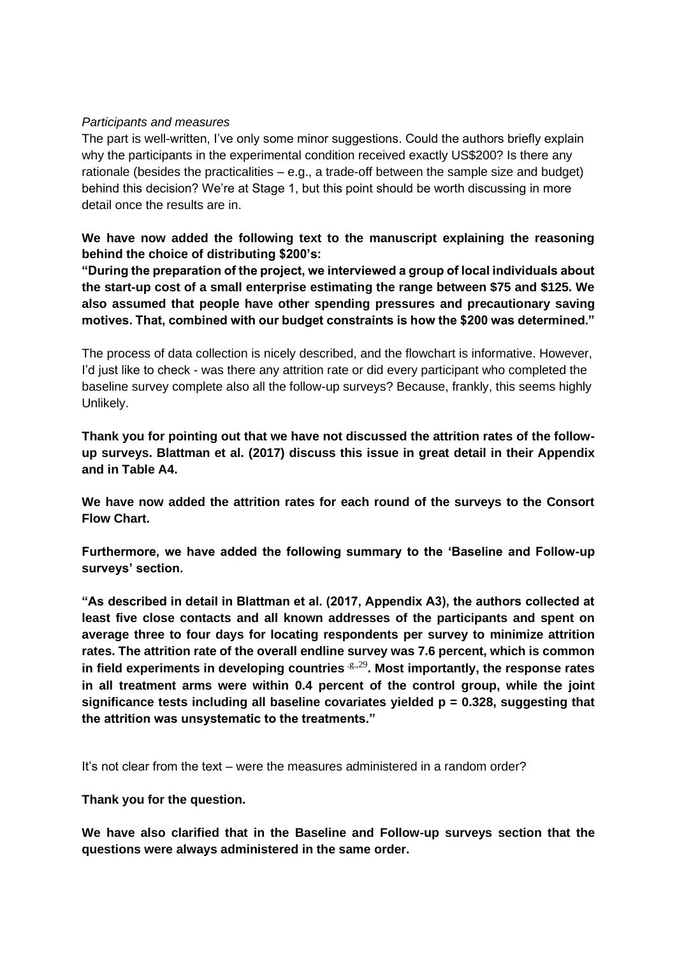## *Participants and measures*

The part is well-written, I've only some minor suggestions. Could the authors briefly explain why the participants in the experimental condition received exactly US\$200? Is there any rationale (besides the practicalities – e.g., a trade-off between the sample size and budget) behind this decision? We're at Stage 1, but this point should be worth discussing in more detail once the results are in.

**We have now added the following text to the manuscript explaining the reasoning behind the choice of distributing \$200's:** 

**"During the preparation of the project, we interviewed a group of local individuals about the start-up cost of a small enterprise estimating the range between \$75 and \$125. We also assumed that people have other spending pressures and precautionary saving motives. That, combined with our budget constraints is how the \$200 was determined."** 

The process of data collection is nicely described, and the flowchart is informative. However, I'd just like to check - was there any attrition rate or did every participant who completed the baseline survey complete also all the follow-up surveys? Because, frankly, this seems highly Unlikely.

**Thank you for pointing out that we have not discussed the attrition rates of the followup surveys. Blattman et al. (2017) discuss this issue in great detail in their Appendix and in Table A4.** 

**We have now added the attrition rates for each round of the surveys to the Consort Flow Chart.** 

**Furthermore, we have added the following summary to the 'Baseline and Follow-up surveys' section.**

**"As described in detail in Blattman et al. (2017, Appendix A3), the authors collected at least five close contacts and all known addresses of the participants and spent on average three to four days for locating respondents per survey to minimize attrition rates. The attrition rate of the overall endline survey was 7.6 percent, which is common**  in field experiments in developing countries  $e^{i\theta}$ . Most importantly, the response rates **in all treatment arms were within 0.4 percent of the control group, while the joint significance tests including all baseline covariates yielded p = 0.328, suggesting that the attrition was unsystematic to the treatments."** 

It's not clear from the text – were the measures administered in a random order?

**Thank you for the question.** 

**We have also clarified that in the Baseline and Follow-up surveys section that the questions were always administered in the same order.**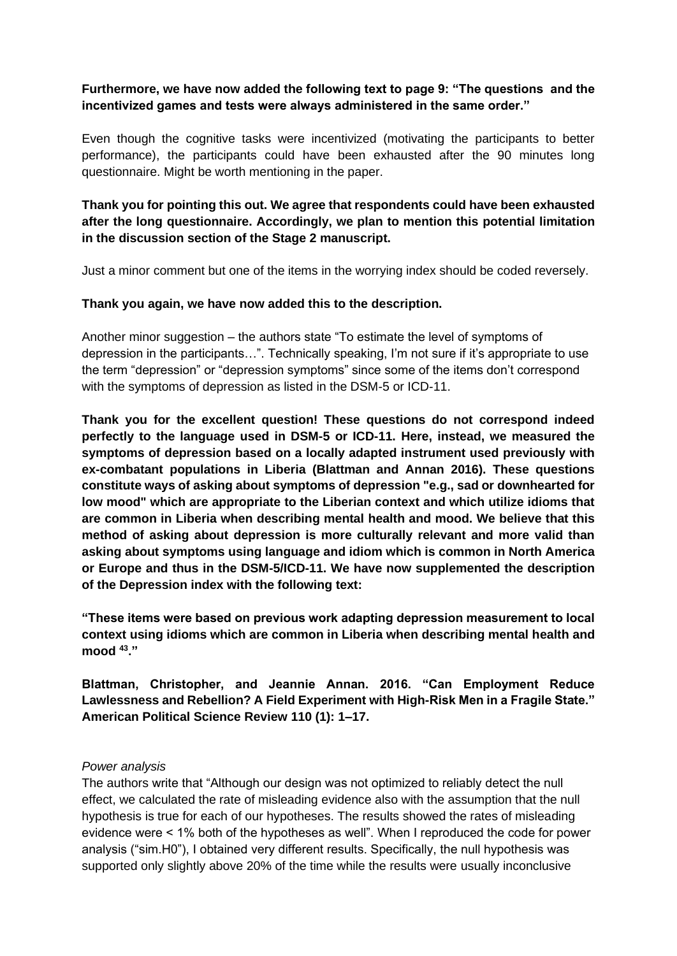# **Furthermore, we have now added the following text to page 9: "The questions and the incentivized games and tests were always administered in the same order."**

Even though the cognitive tasks were incentivized (motivating the participants to better performance), the participants could have been exhausted after the 90 minutes long questionnaire. Might be worth mentioning in the paper.

# **Thank you for pointing this out. We agree that respondents could have been exhausted after the long questionnaire. Accordingly, we plan to mention this potential limitation in the discussion section of the Stage 2 manuscript.**

Just a minor comment but one of the items in the worrying index should be coded reversely.

## **Thank you again, we have now added this to the description.**

Another minor suggestion – the authors state "To estimate the level of symptoms of depression in the participants…". Technically speaking, I'm not sure if it's appropriate to use the term "depression" or "depression symptoms" since some of the items don't correspond with the symptoms of depression as listed in the DSM-5 or ICD-11.

**Thank you for the excellent question! These questions do not correspond indeed perfectly to the language used in DSM-5 or ICD-11. Here, instead, we measured the symptoms of depression based on a locally adapted instrument used previously with ex-combatant populations in Liberia (Blattman and Annan 2016). These questions constitute ways of asking about symptoms of depression "e.g., sad or downhearted for low mood" which are appropriate to the Liberian context and which utilize idioms that are common in Liberia when describing mental health and mood. We believe that this method of asking about depression is more culturally relevant and more valid than asking about symptoms using language and idiom which is common in North America or Europe and thus in the DSM-5/ICD-11. We have now supplemented the description of the Depression index with the following text:**

**"These items were based on previous work adapting depression measurement to local context using idioms which are common in Liberia when describing mental health and mood <sup>43</sup>."**

**Blattman, Christopher, and Jeannie Annan. 2016. "Can Employment Reduce Lawlessness and Rebellion? A Field Experiment with High-Risk Men in a Fragile State." American Political Science Review 110 (1): 1–17.**

## *Power analysis*

The authors write that "Although our design was not optimized to reliably detect the null effect, we calculated the rate of misleading evidence also with the assumption that the null hypothesis is true for each of our hypotheses. The results showed the rates of misleading evidence were < 1% both of the hypotheses as well". When I reproduced the code for power analysis ("sim.H0"), I obtained very different results. Specifically, the null hypothesis was supported only slightly above 20% of the time while the results were usually inconclusive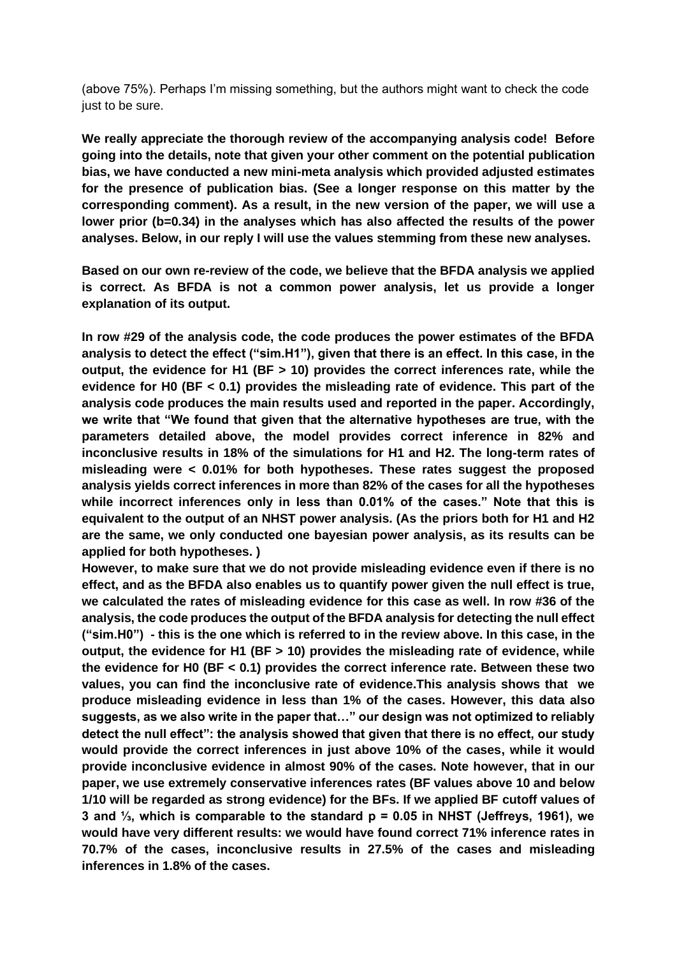(above 75%). Perhaps I'm missing something, but the authors might want to check the code just to be sure.

**We really appreciate the thorough review of the accompanying analysis code! Before going into the details, note that given your other comment on the potential publication bias, we have conducted a new mini-meta analysis which provided adjusted estimates for the presence of publication bias. (See a longer response on this matter by the corresponding comment). As a result, in the new version of the paper, we will use a lower prior (b=0.34) in the analyses which has also affected the results of the power analyses. Below, in our reply I will use the values stemming from these new analyses.**

**Based on our own re-review of the code, we believe that the BFDA analysis we applied is correct. As BFDA is not a common power analysis, let us provide a longer explanation of its output.**

**In row #29 of the analysis code, the code produces the power estimates of the BFDA analysis to detect the effect ("sim.H1"), given that there is an effect. In this case, in the output, the evidence for H1 (BF > 10) provides the correct inferences rate, while the evidence for H0 (BF < 0.1) provides the misleading rate of evidence. This part of the analysis code produces the main results used and reported in the paper. Accordingly, we write that "We found that given that the alternative hypotheses are true, with the parameters detailed above, the model provides correct inference in 82% and inconclusive results in 18% of the simulations for H1 and H2. The long-term rates of misleading were < 0.01% for both hypotheses. These rates suggest the proposed analysis yields correct inferences in more than 82% of the cases for all the hypotheses while incorrect inferences only in less than 0.01% of the cases." Note that this is equivalent to the output of an NHST power analysis. (As the priors both for H1 and H2 are the same, we only conducted one bayesian power analysis, as its results can be applied for both hypotheses. )**

**However, to make sure that we do not provide misleading evidence even if there is no effect, and as the BFDA also enables us to quantify power given the null effect is true, we calculated the rates of misleading evidence for this case as well. In row #36 of the analysis, the code produces the output of the BFDA analysis for detecting the null effect ("sim.H0") - this is the one which is referred to in the review above. In this case, in the output, the evidence for H1 (BF > 10) provides the misleading rate of evidence, while the evidence for H0 (BF < 0.1) provides the correct inference rate. Between these two values, you can find the inconclusive rate of evidence.This analysis shows that we produce misleading evidence in less than 1% of the cases. However, this data also suggests, as we also write in the paper that…" our design was not optimized to reliably detect the null effect": the analysis showed that given that there is no effect, our study would provide the correct inferences in just above 10% of the cases, while it would provide inconclusive evidence in almost 90% of the cases. Note however, that in our paper, we use extremely conservative inferences rates (BF values above 10 and below 1/10 will be regarded as strong evidence) for the BFs. If we applied BF cutoff values of 3 and ⅓, which is comparable to the standard p = 0.05 in NHST (Jeffreys, 1961), we would have very different results: we would have found correct 71% inference rates in 70.7% of the cases, inconclusive results in 27.5% of the cases and misleading inferences in 1.8% of the cases.**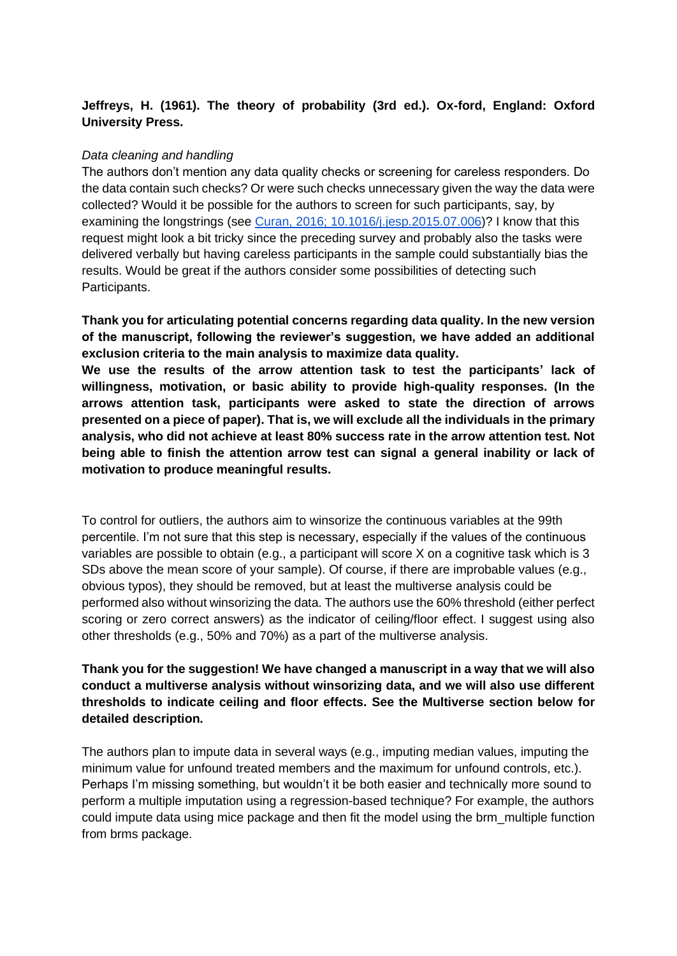# **Jeffreys, H. (1961). The theory of probability (3rd ed.). Ox-ford, England: Oxford University Press.**

## *Data cleaning and handling*

The authors don't mention any data quality checks or screening for careless responders. Do the data contain such checks? Or were such checks unnecessary given the way the data were collected? Would it be possible for the authors to screen for such participants, say, by examining the longstrings (see [Curan, 2016; 10.1016/j.jesp.2015.07.006\)](https://sci-hub.se/10.1016/j.jesp.2015.07.006)? I know that this request might look a bit tricky since the preceding survey and probably also the tasks were delivered verbally but having careless participants in the sample could substantially bias the results. Would be great if the authors consider some possibilities of detecting such Participants.

**Thank you for articulating potential concerns regarding data quality. In the new version of the manuscript, following the reviewer's suggestion, we have added an additional exclusion criteria to the main analysis to maximize data quality. We use the results of the arrow attention task to test the participants' lack of** 

**willingness, motivation, or basic ability to provide high-quality responses. (In the arrows attention task, participants were asked to state the direction of arrows presented on a piece of paper). That is, we will exclude all the individuals in the primary analysis, who did not achieve at least 80% success rate in the arrow attention test. Not being able to finish the attention arrow test can signal a general inability or lack of motivation to produce meaningful results.** 

To control for outliers, the authors aim to winsorize the continuous variables at the 99th percentile. I'm not sure that this step is necessary, especially if the values of the continuous variables are possible to obtain (e.g., a participant will score X on a cognitive task which is 3 SDs above the mean score of your sample). Of course, if there are improbable values (e.g., obvious typos), they should be removed, but at least the multiverse analysis could be performed also without winsorizing the data. The authors use the 60% threshold (either perfect scoring or zero correct answers) as the indicator of ceiling/floor effect. I suggest using also other thresholds (e.g., 50% and 70%) as a part of the multiverse analysis.

# **Thank you for the suggestion! We have changed a manuscript in a way that we will also conduct a multiverse analysis without winsorizing data, and we will also use different thresholds to indicate ceiling and floor effects. See the Multiverse section below for detailed description.**

The authors plan to impute data in several ways (e.g., imputing median values, imputing the minimum value for unfound treated members and the maximum for unfound controls, etc.). Perhaps I'm missing something, but wouldn't it be both easier and technically more sound to perform a multiple imputation using a regression-based technique? For example, the authors could impute data using mice package and then fit the model using the brm\_multiple function from brms package.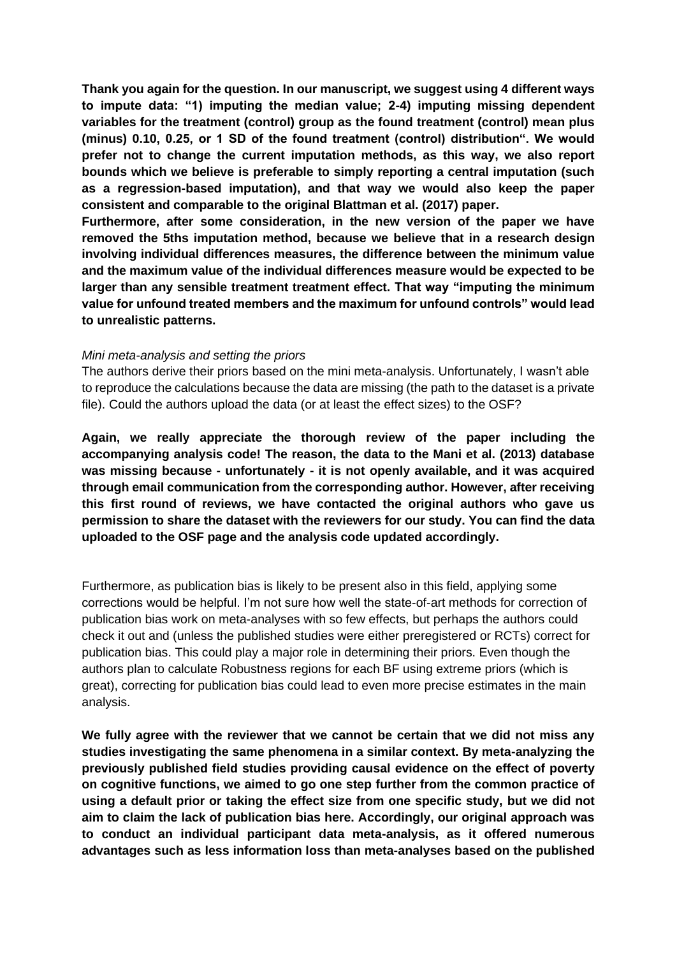**Thank you again for the question. In our manuscript, we suggest using 4 different ways to impute data: "1) imputing the median value; 2-4) imputing missing dependent variables for the treatment (control) group as the found treatment (control) mean plus (minus) 0.10, 0.25, or 1 SD of the found treatment (control) distribution". We would prefer not to change the current imputation methods, as this way, we also report bounds which we believe is preferable to simply reporting a central imputation (such as a regression-based imputation), and that way we would also keep the paper consistent and comparable to the original Blattman et al. (2017) paper.**

**Furthermore, after some consideration, in the new version of the paper we have removed the 5ths imputation method, because we believe that in a research design involving individual differences measures, the difference between the minimum value and the maximum value of the individual differences measure would be expected to be larger than any sensible treatment treatment effect. That way "imputing the minimum value for unfound treated members and the maximum for unfound controls" would lead to unrealistic patterns.** 

#### *Mini meta-analysis and setting the priors*

The authors derive their priors based on the mini meta-analysis. Unfortunately, I wasn't able to reproduce the calculations because the data are missing (the path to the dataset is a private file). Could the authors upload the data (or at least the effect sizes) to the OSF?

**Again, we really appreciate the thorough review of the paper including the accompanying analysis code! The reason, the data to the Mani et al. (2013) database was missing because - unfortunately - it is not openly available, and it was acquired through email communication from the corresponding author. However, after receiving this first round of reviews, we have contacted the original authors who gave us permission to share the dataset with the reviewers for our study. You can find the data uploaded to the OSF page and the analysis code updated accordingly.**

Furthermore, as publication bias is likely to be present also in this field, applying some corrections would be helpful. I'm not sure how well the state-of-art methods for correction of publication bias work on meta-analyses with so few effects, but perhaps the authors could check it out and (unless the published studies were either preregistered or RCTs) correct for publication bias. This could play a major role in determining their priors. Even though the authors plan to calculate Robustness regions for each BF using extreme priors (which is great), correcting for publication bias could lead to even more precise estimates in the main analysis.

**We fully agree with the reviewer that we cannot be certain that we did not miss any studies investigating the same phenomena in a similar context. By meta-analyzing the previously published field studies providing causal evidence on the effect of poverty on cognitive functions, we aimed to go one step further from the common practice of using a default prior or taking the effect size from one specific study, but we did not aim to claim the lack of publication bias here. Accordingly, our original approach was to conduct an individual participant data meta-analysis, as it offered numerous advantages such as less information loss than meta-analyses based on the published**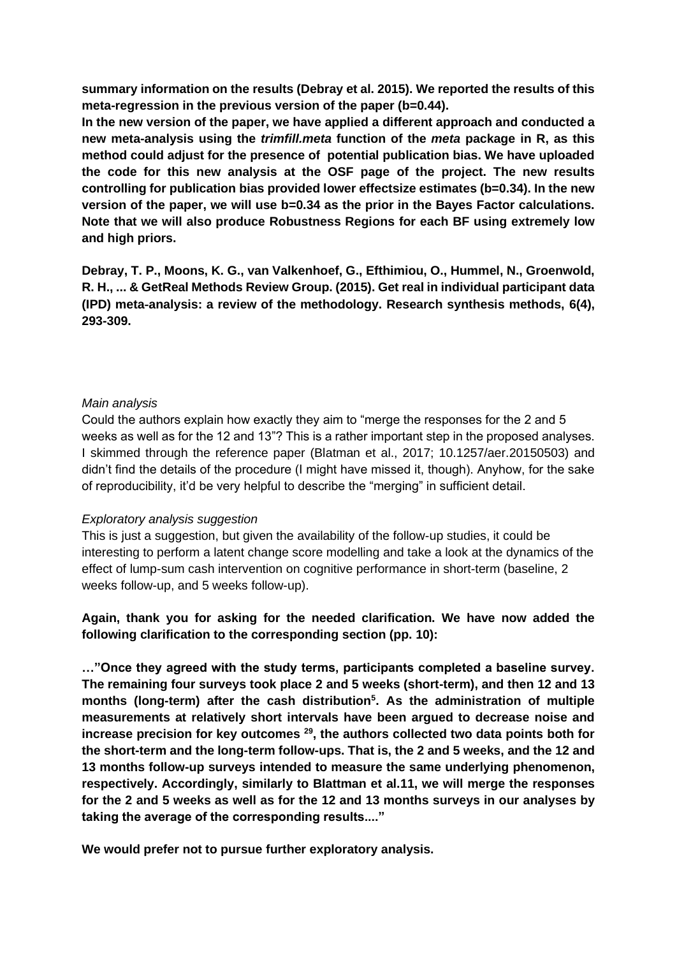**summary information on the results (Debray et al. 2015). We reported the results of this meta-regression in the previous version of the paper (b=0.44).** 

**In the new version of the paper, we have applied a different approach and conducted a new meta-analysis using the** *trimfill.meta* **function of the** *meta* **package in R, as this method could adjust for the presence of potential publication bias. We have uploaded the code for this new analysis at the OSF page of the project. The new results controlling for publication bias provided lower effectsize estimates (b=0.34). In the new version of the paper, we will use b=0.34 as the prior in the Bayes Factor calculations. Note that we will also produce Robustness Regions for each BF using extremely low and high priors.**

**Debray, T. P., Moons, K. G., van Valkenhoef, G., Efthimiou, O., Hummel, N., Groenwold, R. H., ... & GetReal Methods Review Group. (2015). Get real in individual participant data (IPD) meta**‐**analysis: a review of the methodology. Research synthesis methods, 6(4), 293-309.**

## *Main analysis*

Could the authors explain how exactly they aim to "merge the responses for the 2 and 5 weeks as well as for the 12 and 13"? This is a rather important step in the proposed analyses. I skimmed through the reference paper (Blatman et al., 2017; 10.1257/aer.20150503) and didn't find the details of the procedure (I might have missed it, though). Anyhow, for the sake of reproducibility, it'd be very helpful to describe the "merging" in sufficient detail.

#### *Exploratory analysis suggestion*

This is just a suggestion, but given the availability of the follow-up studies, it could be interesting to perform a latent change score modelling and take a look at the dynamics of the effect of lump-sum cash intervention on cognitive performance in short-term (baseline, 2 weeks follow-up, and 5 weeks follow-up).

**Again, thank you for asking for the needed clarification. We have now added the following clarification to the corresponding section (pp. 10):** 

**…"Once they agreed with the study terms, participants completed a baseline survey. The remaining four surveys took place 2 and 5 weeks (short-term), and then 12 and 13 months (long-term) after the cash distribution<sup>5</sup> . As the administration of multiple measurements at relatively short intervals have been argued to decrease noise and increase precision for key outcomes [29](https://www.zotero.org/google-docs/?9jTv6X), the authors collected two data points both for the short-term and the long-term follow-ups. That is, the 2 and 5 weeks, and the 12 and 13 months follow-up surveys intended to measure the same underlying phenomenon, respectively. Accordingly, similarly to Blattman et al[.11,](https://www.zotero.org/google-docs/?MZKycI) we will merge the responses for the 2 and 5 weeks as well as for the 12 and 13 months surveys in our analyses by taking the average of the corresponding results...."** 

**We would prefer not to pursue further exploratory analysis.**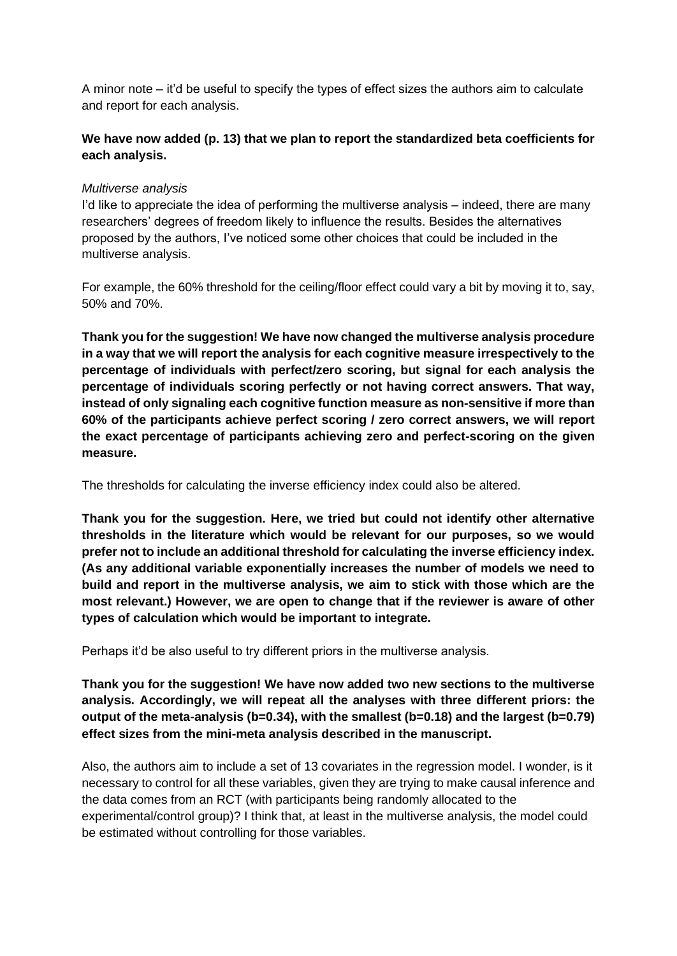A minor note – it'd be useful to specify the types of effect sizes the authors aim to calculate and report for each analysis.

# **We have now added (p. 13) that we plan to report the standardized beta coefficients for each analysis.**

## *Multiverse analysis*

I'd like to appreciate the idea of performing the multiverse analysis – indeed, there are many researchers' degrees of freedom likely to influence the results. Besides the alternatives proposed by the authors, I've noticed some other choices that could be included in the multiverse analysis.

For example, the 60% threshold for the ceiling/floor effect could vary a bit by moving it to, say, 50% and 70%.

**Thank you for the suggestion! We have now changed the multiverse analysis procedure in a way that we will report the analysis for each cognitive measure irrespectively to the percentage of individuals with perfect/zero scoring, but signal for each analysis the percentage of individuals scoring perfectly or not having correct answers. That way, instead of only signaling each cognitive function measure as non-sensitive if more than 60% of the participants achieve perfect scoring / zero correct answers, we will report the exact percentage of participants achieving zero and perfect-scoring on the given measure.** 

The thresholds for calculating the inverse efficiency index could also be altered.

**Thank you for the suggestion. Here, we tried but could not identify other alternative thresholds in the literature which would be relevant for our purposes, so we would prefer not to include an additional threshold for calculating the inverse efficiency index. (As any additional variable exponentially increases the number of models we need to build and report in the multiverse analysis, we aim to stick with those which are the most relevant.) However, we are open to change that if the reviewer is aware of other types of calculation which would be important to integrate.** 

Perhaps it'd be also useful to try different priors in the multiverse analysis.

**Thank you for the suggestion! We have now added two new sections to the multiverse analysis. Accordingly, we will repeat all the analyses with three different priors: the output of the meta-analysis (b=0.34), with the smallest (b=0.18) and the largest (b=0.79) effect sizes from the mini-meta analysis described in the manuscript.** 

Also, the authors aim to include a set of 13 covariates in the regression model. I wonder, is it necessary to control for all these variables, given they are trying to make causal inference and the data comes from an RCT (with participants being randomly allocated to the experimental/control group)? I think that, at least in the multiverse analysis, the model could be estimated without controlling for those variables.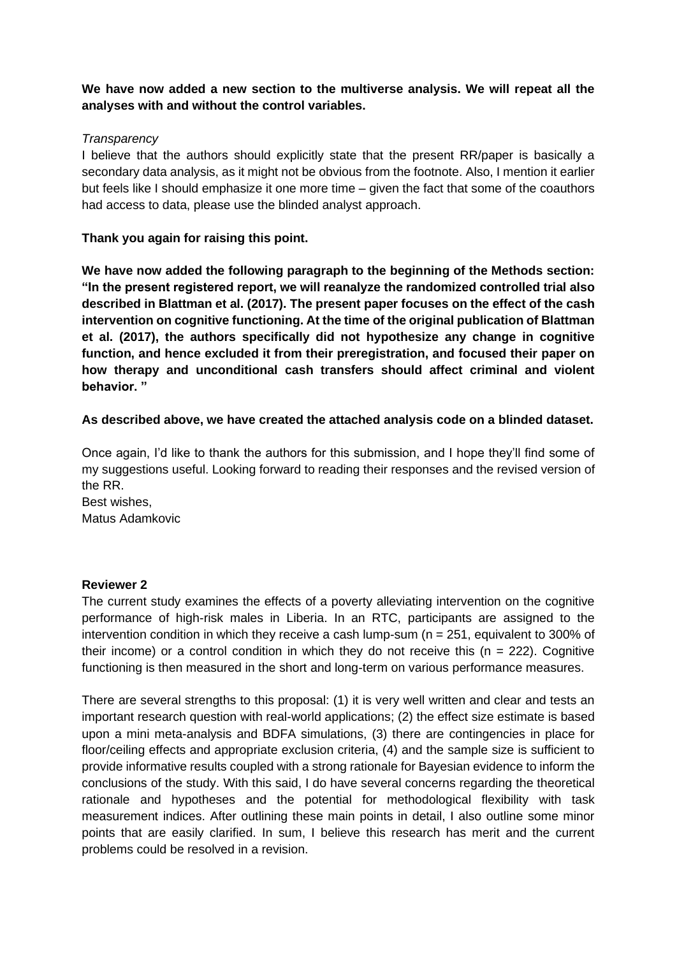# **We have now added a new section to the multiverse analysis. We will repeat all the analyses with and without the control variables.**

## *Transparency*

I believe that the authors should explicitly state that the present RR/paper is basically a secondary data analysis, as it might not be obvious from the footnote. Also, I mention it earlier but feels like I should emphasize it one more time – given the fact that some of the coauthors had access to data, please use the blinded analyst approach.

# **Thank you again for raising this point.**

**We have now added the following paragraph to the beginning of the Methods section: "In the present registered report, we will reanalyze the randomized controlled trial also described in Blattman et al. (2017). The present paper focuses on the effect of the cash intervention on cognitive functioning. At the time of the original publication of Blattman et al. (2017), the authors specifically did not hypothesize any change in cognitive function, and hence excluded it from their preregistration, and focused their paper on how therapy and unconditional cash transfers should affect criminal and violent behavior. "**

# **As described above, we have created the attached analysis code on a blinded dataset.**

Once again, I'd like to thank the authors for this submission, and I hope they'll find some of my suggestions useful. Looking forward to reading their responses and the revised version of the RR.

Best wishes, Matus Adamkovic

## **Reviewer 2**

The current study examines the effects of a poverty alleviating intervention on the cognitive performance of high-risk males in Liberia. In an RTC, participants are assigned to the intervention condition in which they receive a cash lump-sum ( $n = 251$ , equivalent to 300% of their income) or a control condition in which they do not receive this ( $n = 222$ ). Cognitive functioning is then measured in the short and long-term on various performance measures.

There are several strengths to this proposal: (1) it is very well written and clear and tests an important research question with real-world applications; (2) the effect size estimate is based upon a mini meta-analysis and BDFA simulations, (3) there are contingencies in place for floor/ceiling effects and appropriate exclusion criteria, (4) and the sample size is sufficient to provide informative results coupled with a strong rationale for Bayesian evidence to inform the conclusions of the study. With this said, I do have several concerns regarding the theoretical rationale and hypotheses and the potential for methodological flexibility with task measurement indices. After outlining these main points in detail, I also outline some minor points that are easily clarified. In sum, I believe this research has merit and the current problems could be resolved in a revision.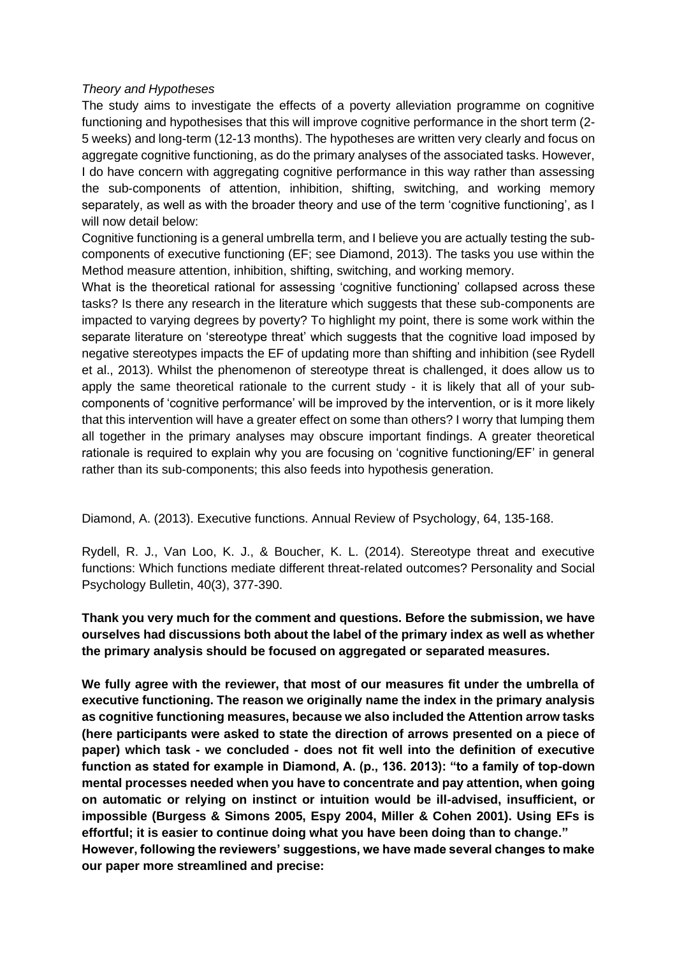### *Theory and Hypotheses*

The study aims to investigate the effects of a poverty alleviation programme on cognitive functioning and hypothesises that this will improve cognitive performance in the short term (2- 5 weeks) and long-term (12-13 months). The hypotheses are written very clearly and focus on aggregate cognitive functioning, as do the primary analyses of the associated tasks. However, I do have concern with aggregating cognitive performance in this way rather than assessing the sub-components of attention, inhibition, shifting, switching, and working memory separately, as well as with the broader theory and use of the term 'cognitive functioning', as I will now detail below:

Cognitive functioning is a general umbrella term, and I believe you are actually testing the subcomponents of executive functioning (EF; see Diamond, 2013). The tasks you use within the Method measure attention, inhibition, shifting, switching, and working memory.

What is the theoretical rational for assessing 'cognitive functioning' collapsed across these tasks? Is there any research in the literature which suggests that these sub-components are impacted to varying degrees by poverty? To highlight my point, there is some work within the separate literature on 'stereotype threat' which suggests that the cognitive load imposed by negative stereotypes impacts the EF of updating more than shifting and inhibition (see Rydell et al., 2013). Whilst the phenomenon of stereotype threat is challenged, it does allow us to apply the same theoretical rationale to the current study - it is likely that all of your subcomponents of 'cognitive performance' will be improved by the intervention, or is it more likely that this intervention will have a greater effect on some than others? I worry that lumping them all together in the primary analyses may obscure important findings. A greater theoretical rationale is required to explain why you are focusing on 'cognitive functioning/EF' in general rather than its sub-components; this also feeds into hypothesis generation.

Diamond, A. (2013). Executive functions. Annual Review of Psychology, 64, 135-168.

Rydell, R. J., Van Loo, K. J., & Boucher, K. L. (2014). Stereotype threat and executive functions: Which functions mediate different threat-related outcomes? Personality and Social Psychology Bulletin, 40(3), 377-390.

# **Thank you very much for the comment and questions. Before the submission, we have ourselves had discussions both about the label of the primary index as well as whether the primary analysis should be focused on aggregated or separated measures.**

**We fully agree with the reviewer, that most of our measures fit under the umbrella of executive functioning. The reason we originally name the index in the primary analysis as cognitive functioning measures, because we also included the Attention arrow tasks (here participants were asked to state the direction of arrows presented on a piece of paper) which task - we concluded - does not fit well into the definition of executive function as stated for example in Diamond, A. (p., 136. 2013): "to a family of top-down mental processes needed when you have to concentrate and pay attention, when going on automatic or relying on instinct or intuition would be ill-advised, insufficient, or impossible (Burgess & Simons 2005, Espy 2004, Miller & Cohen 2001). Using EFs is effortful; it is easier to continue doing what you have been doing than to change." However, following the reviewers' suggestions, we have made several changes to make our paper more streamlined and precise:**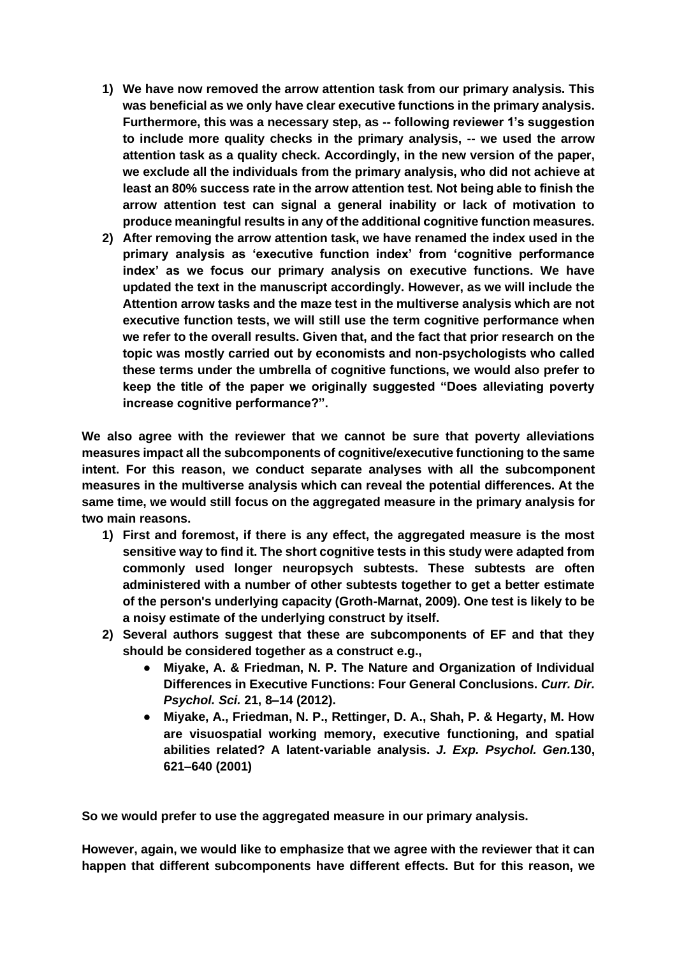- **1) We have now removed the arrow attention task from our primary analysis. This was beneficial as we only have clear executive functions in the primary analysis. Furthermore, this was a necessary step, as -- following reviewer 1's suggestion to include more quality checks in the primary analysis, -- we used the arrow attention task as a quality check. Accordingly, in the new version of the paper, we exclude all the individuals from the primary analysis, who did not achieve at least an 80% success rate in the arrow attention test. Not being able to finish the arrow attention test can signal a general inability or lack of motivation to produce meaningful results in any of the additional cognitive function measures.**
- **2) After removing the arrow attention task, we have renamed the index used in the primary analysis as 'executive function index' from 'cognitive performance index' as we focus our primary analysis on executive functions. We have updated the text in the manuscript accordingly. However, as we will include the Attention arrow tasks and the maze test in the multiverse analysis which are not executive function tests, we will still use the term cognitive performance when we refer to the overall results. Given that, and the fact that prior research on the topic was mostly carried out by economists and non-psychologists who called these terms under the umbrella of cognitive functions, we would also prefer to keep the title of the paper we originally suggested "Does alleviating poverty increase cognitive performance?".**

**We also agree with the reviewer that we cannot be sure that poverty alleviations measures impact all the subcomponents of cognitive/executive functioning to the same intent. For this reason, we conduct separate analyses with all the subcomponent measures in the multiverse analysis which can reveal the potential differences. At the same time, we would still focus on the aggregated measure in the primary analysis for two main reasons.**

- **1) First and foremost, if there is any effect, the aggregated measure is the most sensitive way to find it. The short cognitive tests in this study were adapted from commonly used longer neuropsych subtests. These subtests are often administered with a number of other subtests together to get a better estimate of the person's underlying capacity (Groth-Marnat, 2009). One test is likely to be a noisy estimate of the underlying construct by itself.**
- **2) Several authors suggest that these are subcomponents of EF and that they should be considered together as a construct e.g.,** 
	- **Miyake, A. & Friedman, N. P. The Nature and Organization of Individual Differences in Executive Functions: Four General Conclusions.** *Curr. Dir. Psychol. Sci.* **21, 8–14 (2012).**
	- **Miyake, A., Friedman, N. P., Rettinger, D. A., Shah, P. & Hegarty, M. How are visuospatial working memory, executive functioning, and spatial abilities related? A latent-variable analysis.** *J. Exp. Psychol. Gen.***130, 621–640 (2001)**

**So we would prefer to use the aggregated measure in our primary analysis.**

**However, again, we would like to emphasize that we agree with the reviewer that it can happen that different subcomponents have different effects. But for this reason, we**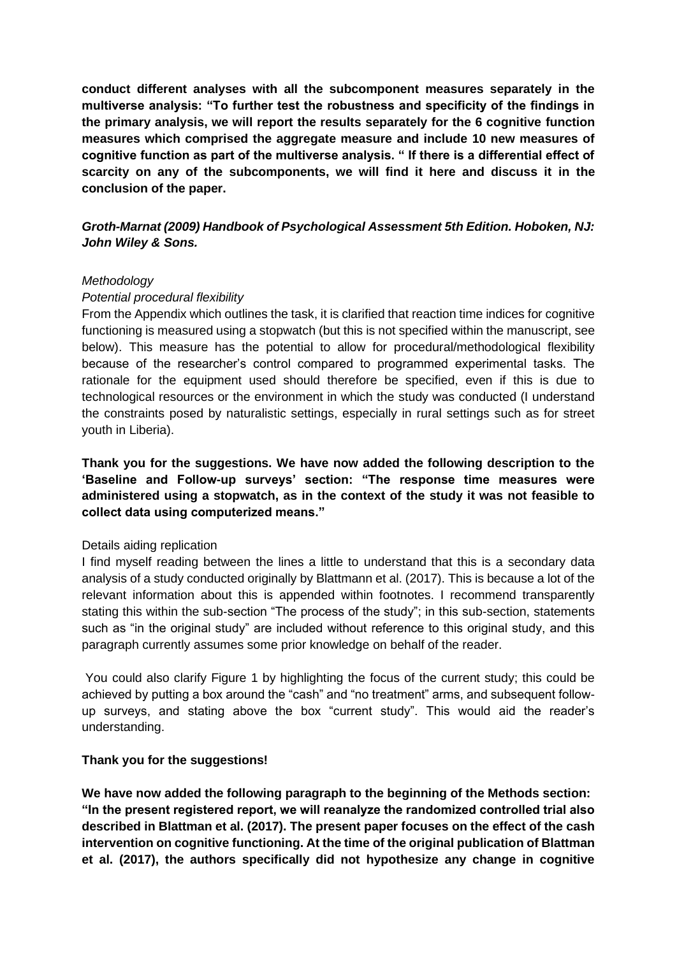**conduct different analyses with all the subcomponent measures separately in the multiverse analysis: "To further test the robustness and specificity of the findings in the primary analysis, we will report the results separately for the 6 cognitive function measures which comprised the aggregate measure and include 10 new measures of cognitive function as part of the multiverse analysis. " If there is a differential effect of scarcity on any of the subcomponents, we will find it here and discuss it in the conclusion of the paper.**

*Groth-Marnat (2009) Handbook of Psychological Assessment 5th Edition. Hoboken, NJ: John Wiley & Sons.*

#### *Methodology*

#### *Potential procedural flexibility*

From the Appendix which outlines the task, it is clarified that reaction time indices for cognitive functioning is measured using a stopwatch (but this is not specified within the manuscript, see below). This measure has the potential to allow for procedural/methodological flexibility because of the researcher's control compared to programmed experimental tasks. The rationale for the equipment used should therefore be specified, even if this is due to technological resources or the environment in which the study was conducted (I understand the constraints posed by naturalistic settings, especially in rural settings such as for street youth in Liberia).

**Thank you for the suggestions. We have now added the following description to the 'Baseline and Follow-up surveys' section: "The response time measures were administered using a stopwatch, as in the context of the study it was not feasible to collect data using computerized means."**

## Details aiding replication

I find myself reading between the lines a little to understand that this is a secondary data analysis of a study conducted originally by Blattmann et al. (2017). This is because a lot of the relevant information about this is appended within footnotes. I recommend transparently stating this within the sub-section "The process of the study"; in this sub-section, statements such as "in the original study" are included without reference to this original study, and this paragraph currently assumes some prior knowledge on behalf of the reader.

You could also clarify Figure 1 by highlighting the focus of the current study; this could be achieved by putting a box around the "cash" and "no treatment" arms, and subsequent followup surveys, and stating above the box "current study". This would aid the reader's understanding.

## **Thank you for the suggestions!**

**We have now added the following paragraph to the beginning of the Methods section: "In the present registered report, we will reanalyze the randomized controlled trial also described in Blattman et al. (2017). The present paper focuses on the effect of the cash intervention on cognitive functioning. At the time of the original publication of Blattman et al. (2017), the authors specifically did not hypothesize any change in cognitive**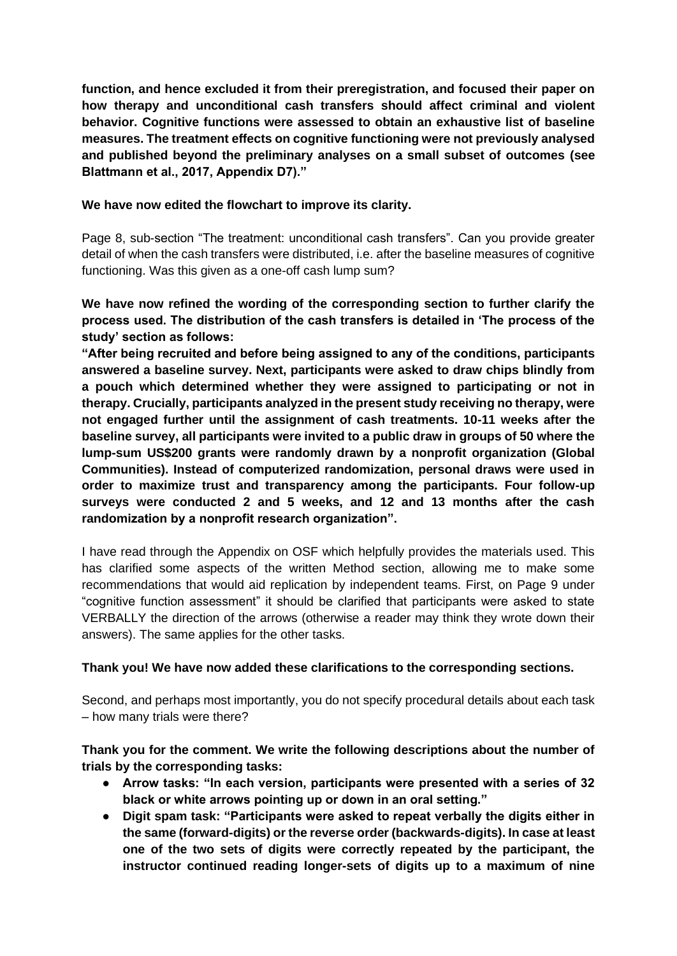**function, and hence excluded it from their preregistration, and focused their paper on how therapy and unconditional cash transfers should affect criminal and violent behavior. Cognitive functions were assessed to obtain an exhaustive list of baseline measures. The treatment effects on cognitive functioning were not previously analysed and published beyond the preliminary analyses on a small subset of outcomes (see Blattmann et al., 2017, Appendix D7)."**

## **We have now edited the flowchart to improve its clarity.**

Page 8, sub-section "The treatment: unconditional cash transfers". Can you provide greater detail of when the cash transfers were distributed, i.e. after the baseline measures of cognitive functioning. Was this given as a one-off cash lump sum?

**We have now refined the wording of the corresponding section to further clarify the process used. The distribution of the cash transfers is detailed in 'The process of the study' section as follows:**

**"After being recruited and before being assigned to any of the conditions, participants answered a baseline survey. Next, participants were asked to draw chips blindly from a pouch which determined whether they were assigned to participating or not in therapy. Crucially, participants analyzed in the present study receiving no therapy, were not engaged further until the assignment of cash treatments. 10-11 weeks after the baseline survey, all participants were invited to a public draw in groups of 50 where the lump-sum US\$200 grants were randomly drawn by a nonprofit organization (Global Communities). Instead of computerized randomization, personal draws were used in order to maximize trust and transparency among the participants. Four follow-up surveys were conducted 2 and 5 weeks, and 12 and 13 months after the cash randomization by a nonprofit research organization".** 

I have read through the Appendix on OSF which helpfully provides the materials used. This has clarified some aspects of the written Method section, allowing me to make some recommendations that would aid replication by independent teams. First, on Page 9 under "cognitive function assessment" it should be clarified that participants were asked to state VERBALLY the direction of the arrows (otherwise a reader may think they wrote down their answers). The same applies for the other tasks.

# **Thank you! We have now added these clarifications to the corresponding sections.**

Second, and perhaps most importantly, you do not specify procedural details about each task – how many trials were there?

# **Thank you for the comment. We write the following descriptions about the number of trials by the corresponding tasks:**

- **Arrow tasks: "In each version, participants were presented with a series of 32 black or white arrows pointing up or down in an oral setting."**
- **Digit spam task: "Participants were asked to repeat verbally the digits either in the same (forward-digits) or the reverse order (backwards-digits). In case at least one of the two sets of digits were correctly repeated by the participant, the instructor continued reading longer-sets of digits up to a maximum of nine**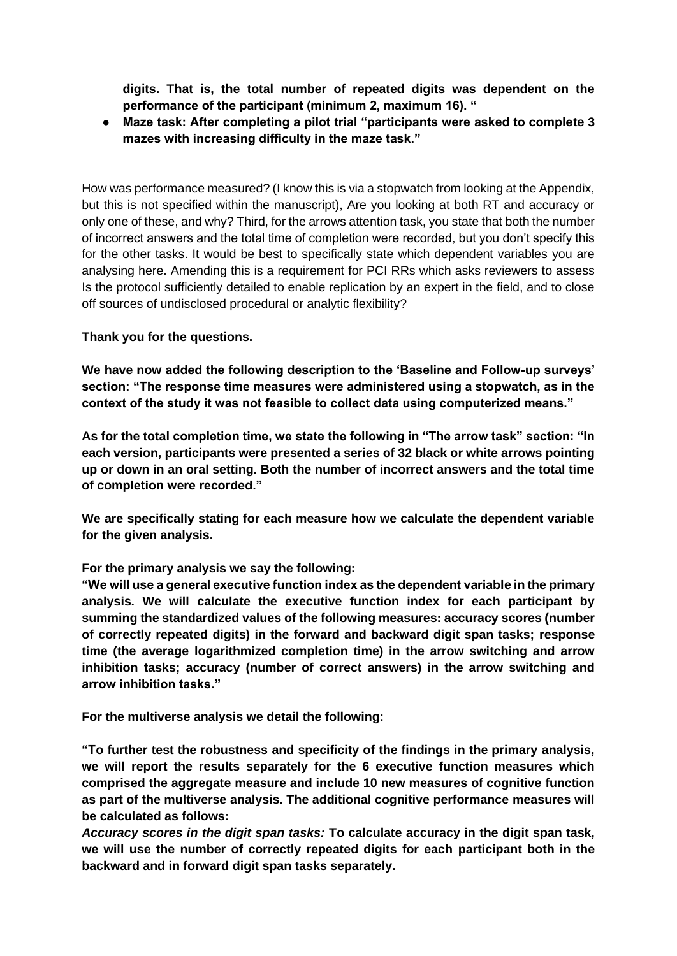**digits. That is, the total number of repeated digits was dependent on the performance of the participant (minimum 2, maximum 16). "**

● **Maze task: After completing a pilot trial "participants were asked to complete 3 mazes with increasing difficulty in the maze task."**

How was performance measured? (I know this is via a stopwatch from looking at the Appendix, but this is not specified within the manuscript), Are you looking at both RT and accuracy or only one of these, and why? Third, for the arrows attention task, you state that both the number of incorrect answers and the total time of completion were recorded, but you don't specify this for the other tasks. It would be best to specifically state which dependent variables you are analysing here. Amending this is a requirement for PCI RRs which asks reviewers to assess Is the protocol sufficiently detailed to enable replication by an expert in the field, and to close off sources of undisclosed procedural or analytic flexibility?

**Thank you for the questions.**

**We have now added the following description to the 'Baseline and Follow-up surveys' section: "The response time measures were administered using a stopwatch, as in the context of the study it was not feasible to collect data using computerized means."**

**As for the total completion time, we state the following in "The arrow task" section: "In each version, participants were presented a series of 32 black or white arrows pointing up or down in an oral setting. Both the number of incorrect answers and the total time of completion were recorded."**

**We are specifically stating for each measure how we calculate the dependent variable for the given analysis.** 

## **For the primary analysis we say the following:**

**"We will use a general executive function index as the dependent variable in the primary analysis. We will calculate the executive function index for each participant by summing the standardized values of the following measures: accuracy scores (number of correctly repeated digits) in the forward and backward digit span tasks; response time (the average logarithmized completion time) in the arrow switching and arrow inhibition tasks; accuracy (number of correct answers) in the arrow switching and arrow inhibition tasks."**

**For the multiverse analysis we detail the following:**

**"To further test the robustness and specificity of the findings in the primary analysis, we will report the results separately for the 6 executive function measures which comprised the aggregate measure and include 10 new measures of cognitive function as part of the multiverse analysis. The additional cognitive performance measures will be calculated as follows:**

*Accuracy scores in the digit span tasks:* **To calculate accuracy in the digit span task, we will use the number of correctly repeated digits for each participant both in the backward and in forward digit span tasks separately.**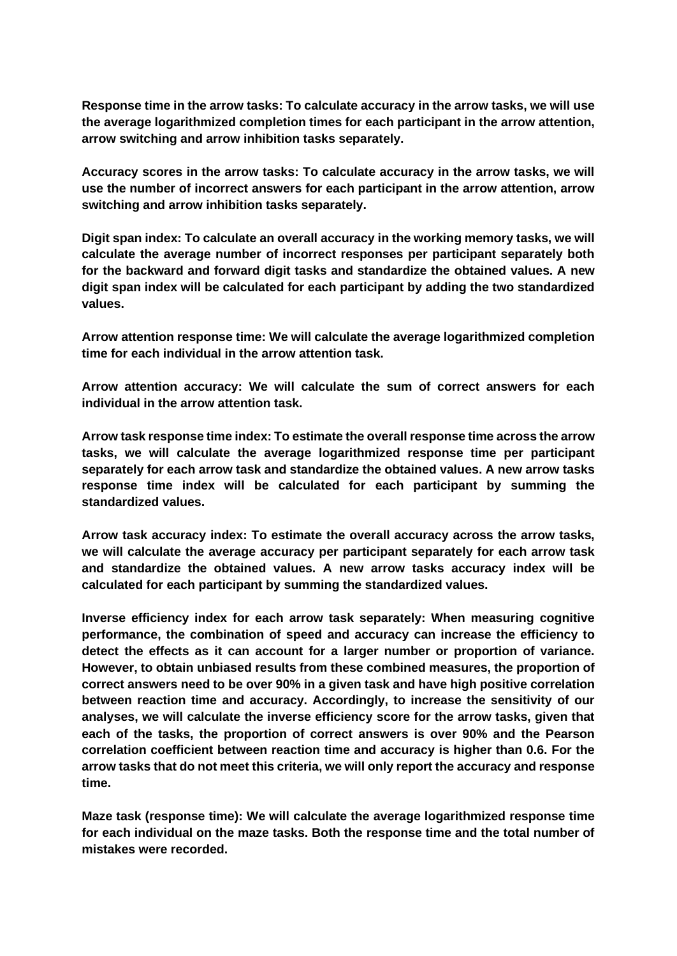**Response time in the arrow tasks: To calculate accuracy in the arrow tasks, we will use the average logarithmized completion times for each participant in the arrow attention, arrow switching and arrow inhibition tasks separately.**

**Accuracy scores in the arrow tasks: To calculate accuracy in the arrow tasks, we will use the number of incorrect answers for each participant in the arrow attention, arrow switching and arrow inhibition tasks separately.**

**Digit span index: To calculate an overall accuracy in the working memory tasks, we will calculate the average number of incorrect responses per participant separately both for the backward and forward digit tasks and standardize the obtained values. A new digit span index will be calculated for each participant by adding the two standardized values.**

**Arrow attention response time: We will calculate the average logarithmized completion time for each individual in the arrow attention task.**

**Arrow attention accuracy: We will calculate the sum of correct answers for each individual in the arrow attention task.** 

**Arrow task response time index: To estimate the overall response time across the arrow tasks, we will calculate the average logarithmized response time per participant separately for each arrow task and standardize the obtained values. A new arrow tasks response time index will be calculated for each participant by summing the standardized values.**

**Arrow task accuracy index: To estimate the overall accuracy across the arrow tasks, we will calculate the average accuracy per participant separately for each arrow task and standardize the obtained values. A new arrow tasks accuracy index will be calculated for each participant by summing the standardized values.**

**Inverse efficiency index for each arrow task separately: When measuring cognitive performance, the combination of speed and accuracy can increase the efficiency to detect the effects as it can account for a larger number or proportion of variance. However, to obtain unbiased results from these combined measures, the proportion of correct answers need to be over 90% in a given task and have high positive correlation between reaction time and accuracy. Accordingly, to increase the sensitivity of our analyses, we will calculate the inverse efficiency score for the arrow tasks, given that each of the tasks, the proportion of correct answers is over 90% and the Pearson correlation coefficient between reaction time and accuracy is higher than 0.6. For the arrow tasks that do not meet this criteria, we will only report the accuracy and response time.**

**Maze task (response time): We will calculate the average logarithmized response time for each individual on the maze tasks. Both the response time and the total number of mistakes were recorded.**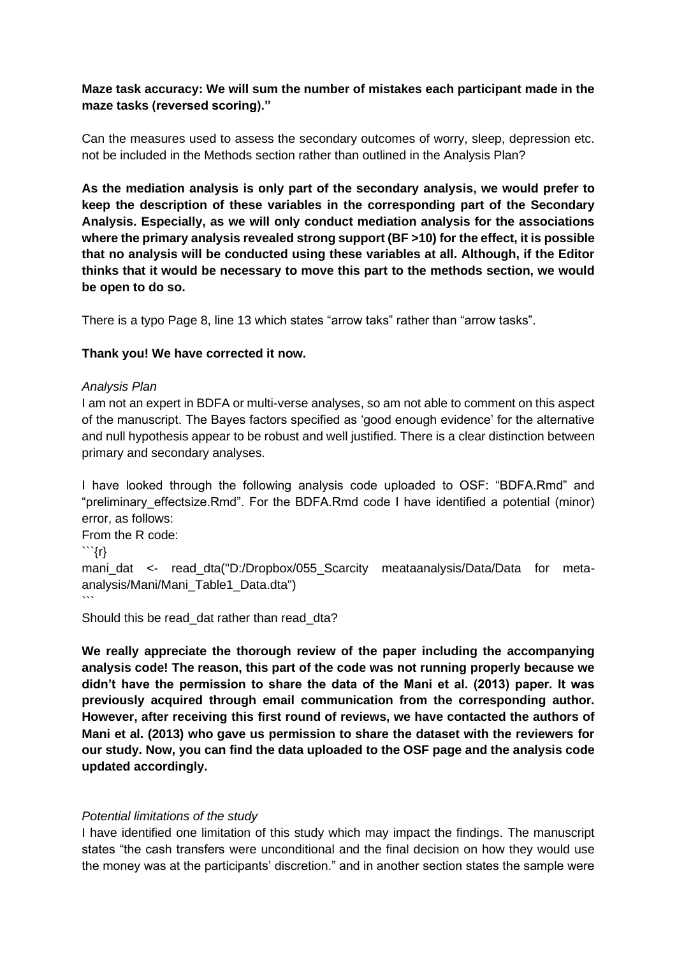# **Maze task accuracy: We will sum the number of mistakes each participant made in the maze tasks (reversed scoring)."**

Can the measures used to assess the secondary outcomes of worry, sleep, depression etc. not be included in the Methods section rather than outlined in the Analysis Plan?

**As the mediation analysis is only part of the secondary analysis, we would prefer to keep the description of these variables in the corresponding part of the Secondary Analysis. Especially, as we will only conduct mediation analysis for the associations where the primary analysis revealed strong support (BF >10) for the effect, it is possible that no analysis will be conducted using these variables at all. Although, if the Editor thinks that it would be necessary to move this part to the methods section, we would be open to do so.** 

There is a typo Page 8, line 13 which states "arrow taks" rather than "arrow tasks".

# **Thank you! We have corrected it now.**

## *Analysis Plan*

I am not an expert in BDFA or multi-verse analyses, so am not able to comment on this aspect of the manuscript. The Bayes factors specified as 'good enough evidence' for the alternative and null hypothesis appear to be robust and well justified. There is a clear distinction between primary and secondary analyses.

I have looked through the following analysis code uploaded to OSF: "BDFA.Rmd" and "preliminary effectsize.Rmd". For the BDFA.Rmd code I have identified a potential (minor) error, as follows:

```
From the R code:
```{r}
mani dat <- read dta("D:/Dropbox/055 Scarcity meataanalysis/Data/Data for meta-
analysis/Mani/Mani_Table1_Data.dta")
\ddot{\phantom{0}}
```
Should this be read dat rather than read dta?

**We really appreciate the thorough review of the paper including the accompanying analysis code! The reason, this part of the code was not running properly because we didn't have the permission to share the data of the Mani et al. (2013) paper. It was previously acquired through email communication from the corresponding author. However, after receiving this first round of reviews, we have contacted the authors of Mani et al. (2013) who gave us permission to share the dataset with the reviewers for our study. Now, you can find the data uploaded to the OSF page and the analysis code updated accordingly.**

## *Potential limitations of the study*

I have identified one limitation of this study which may impact the findings. The manuscript states "the cash transfers were unconditional and the final decision on how they would use the money was at the participants' discretion." and in another section states the sample were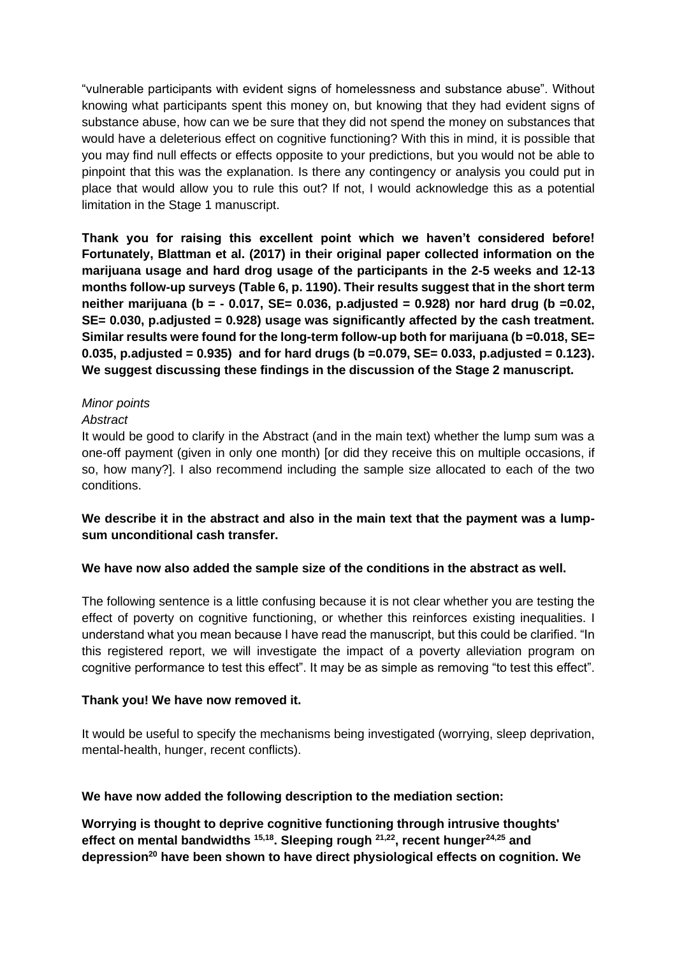"vulnerable participants with evident signs of homelessness and substance abuse". Without knowing what participants spent this money on, but knowing that they had evident signs of substance abuse, how can we be sure that they did not spend the money on substances that would have a deleterious effect on cognitive functioning? With this in mind, it is possible that you may find null effects or effects opposite to your predictions, but you would not be able to pinpoint that this was the explanation. Is there any contingency or analysis you could put in place that would allow you to rule this out? If not, I would acknowledge this as a potential limitation in the Stage 1 manuscript.

**Thank you for raising this excellent point which we haven't considered before! Fortunately, Blattman et al. (2017) in their original paper collected information on the marijuana usage and hard drog usage of the participants in the 2-5 weeks and 12-13 months follow-up surveys (Table 6, p. 1190). Their results suggest that in the short term neither marijuana (b = - 0.017, SE= 0.036, p.adjusted = 0.928) nor hard drug (b =0.02, SE= 0.030, p.adjusted = 0.928) usage was significantly affected by the cash treatment. Similar results were found for the long-term follow-up both for marijuana (b =0.018, SE= 0.035, p.adjusted = 0.935) and for hard drugs (b =0.079, SE= 0.033, p.adjusted = 0.123). We suggest discussing these findings in the discussion of the Stage 2 manuscript.** 

## *Minor points*

#### *Abstract*

It would be good to clarify in the Abstract (and in the main text) whether the lump sum was a one-off payment (given in only one month) [or did they receive this on multiple occasions, if so, how many?]. I also recommend including the sample size allocated to each of the two conditions.

# **We describe it in the abstract and also in the main text that the payment was a lumpsum unconditional cash transfer.**

## **We have now also added the sample size of the conditions in the abstract as well.**

The following sentence is a little confusing because it is not clear whether you are testing the effect of poverty on cognitive functioning, or whether this reinforces existing inequalities. I understand what you mean because I have read the manuscript, but this could be clarified. "In this registered report, we will investigate the impact of a poverty alleviation program on cognitive performance to test this effect". It may be as simple as removing "to test this effect".

#### **Thank you! We have now removed it.**

It would be useful to specify the mechanisms being investigated (worrying, sleep deprivation, mental-health, hunger, recent conflicts).

## **We have now added the following description to the mediation section:**

**Worrying is thought to deprive cognitive functioning through intrusive thoughts' effect on mental bandwidths [15,18](https://www.zotero.org/google-docs/?wuMPdj). Sleeping rough [21,22](https://www.zotero.org/google-docs/?eA4XvV), recent hunger[24,25](https://www.zotero.org/google-docs/?U0h37y) and depression[20](https://www.zotero.org/google-docs/?sFbG7Y) have been shown to have direct physiological effects on cognition. We**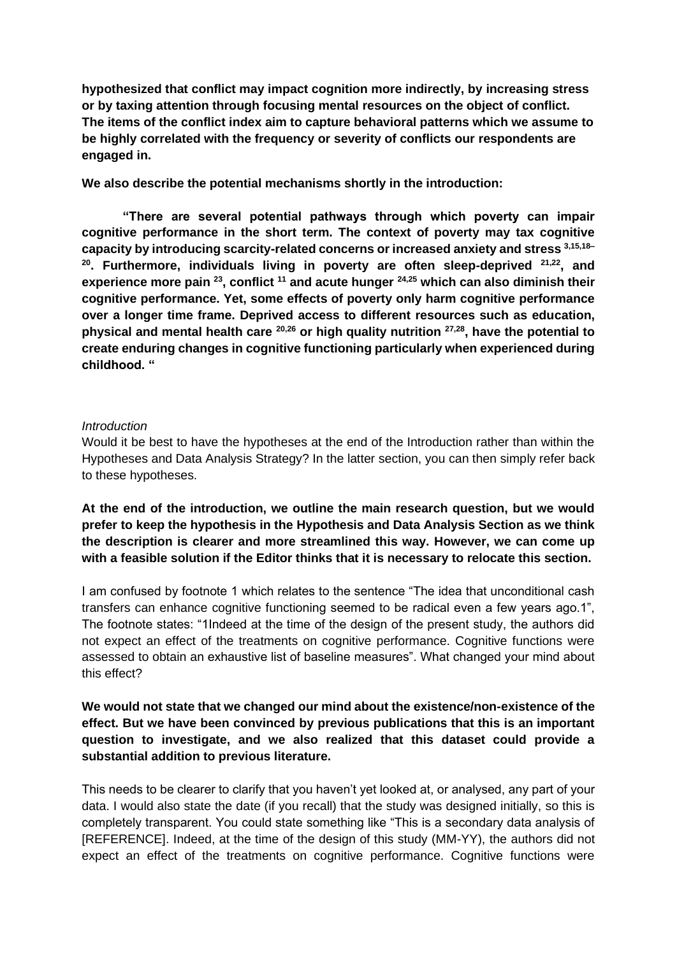**hypothesized that conflict may impact cognition more indirectly, by increasing stress or by taxing attention through focusing mental resources on the object of conflict. The items of the conflict index aim to capture behavioral patterns which we assume to be highly correlated with the frequency or severity of conflicts our respondents are engaged in.**

**We also describe the potential mechanisms shortly in the introduction:**

**"There are several potential pathways through which poverty can impair cognitive performance in the short term. The context of poverty may tax cognitive capacity by introducing scarcity-related concerns or increased anxiety and stress [3,15,18–](https://www.zotero.org/google-docs/?kxnc3i) [20](https://www.zotero.org/google-docs/?kxnc3i). Furthermore, individuals living in poverty are often sleep-deprived [21,22](https://www.zotero.org/google-docs/?kdBYCz), and experience more pain [23](https://www.zotero.org/google-docs/?dRx34K), conflict [11](https://www.zotero.org/google-docs/?nvLVb9) and acute hunger [24,25](https://www.zotero.org/google-docs/?pzb0xp) which can also diminish their cognitive performance. Yet, some effects of poverty only harm cognitive performance over a longer time frame. Deprived access to different resources such as education, physical and mental health care [20,26](https://www.zotero.org/google-docs/?89SLY6) or high quality nutrition [27,28](https://www.zotero.org/google-docs/?9Xgrns), have the potential to create enduring changes in cognitive functioning particularly when experienced during childhood. "**

#### *Introduction*

Would it be best to have the hypotheses at the end of the Introduction rather than within the Hypotheses and Data Analysis Strategy? In the latter section, you can then simply refer back to these hypotheses.

**At the end of the introduction, we outline the main research question, but we would prefer to keep the hypothesis in the Hypothesis and Data Analysis Section as we think the description is clearer and more streamlined this way. However, we can come up with a feasible solution if the Editor thinks that it is necessary to relocate this section.**

I am confused by footnote 1 which relates to the sentence "The idea that unconditional cash transfers can enhance cognitive functioning seemed to be radical even a few years ago.1", The footnote states: "1Indeed at the time of the design of the present study, the authors did not expect an effect of the treatments on cognitive performance. Cognitive functions were assessed to obtain an exhaustive list of baseline measures". What changed your mind about this effect?

# **We would not state that we changed our mind about the existence/non-existence of the effect. But we have been convinced by previous publications that this is an important question to investigate, and we also realized that this dataset could provide a substantial addition to previous literature.**

This needs to be clearer to clarify that you haven't yet looked at, or analysed, any part of your data. I would also state the date (if you recall) that the study was designed initially, so this is completely transparent. You could state something like "This is a secondary data analysis of [REFERENCE]. Indeed, at the time of the design of this study (MM-YY), the authors did not expect an effect of the treatments on cognitive performance. Cognitive functions were